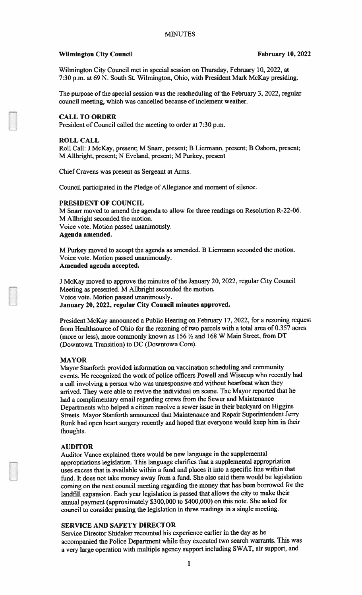### Wilmington City Council **February 10, 2022**

Wilmington City Council met in special session on Thursday, February 10, 2022, at 7:30 p.m. at 69 N. South St. Wilmington, Ohio, with President Mark McKay presiding.

The purpose of the special session was the rescheduling of the February 3, 2022, regular council meeting, which was cancelled because of inclement weather.

#### CALL TO ORDER

President of Council called the meeting to order at 7:30 p.m.

#### ROLL CALL

Roll Call; J McKay. present; M Snarr. present; B Liermann, present; B Osborn, present; M Allbright, present; N Eveland, present; <sup>M</sup> Purkey, presen<sup>t</sup>

Chief Cravens was presen<sup>t</sup> as Sergeant at Arms.

Council participated in the Pledge of Allegiance and moment of silence.

### PRESIDENT OF COUNCIL

M Snarr moved to amend the agenda to allow for three readings on Resolution R-22-06, M Allbright seconded the motion. Voice vote. Motion passed unanimously. Agenda amended.

M Purkey moved to accep<sup>t</sup> the agenda as amended. <sup>B</sup> Liermann seconded the motion. Voice vote. Motion passed unanimously. Amended agenda accepted.

<sup>J</sup> McKay moved to approve the minutes of the January 20, 2022. regular City Council Meeting as presented. <sup>M</sup> Allbright seconded the motion. Voice vote. Motion passed unanimously. January 20, 2022, regular City Council minutes approved.

President McKay announced <sup>a</sup> Public Hearing on February 17, 2022, for <sup>a</sup> rezoning reques<sup>t</sup> from Healthsource of Ohio for the rezoning of two parcels with <sup>a</sup> total area of 0.357 acres (more or less), more commonly known as <sup>156</sup> <sup>½</sup> and <sup>168</sup> <sup>W</sup> Main Street, from DT (Downtown Transition) to DC (Downtown Core).

#### MAYOR

Mayor Stanforth provided information on vaccination scheduling and community events. He recognized the work of police officers Powell and Wisecup who recently had <sup>a</sup> call involving <sup>a</sup> person who was unresponsive and without heartbeat when they arrived. They were able to revive the individual on scene. The Mayor reported that he had <sup>a</sup> complimentary email regarding crews from the Sewer and Maintenance Departments who helped <sup>a</sup> citizen resolve <sup>a</sup> sewer issue in their backyard on Higgins Streets. Mayor Stanforth announced that Maintenance and Repair Superintendent Jerry Runk had open heart surgery recently and hoped that everyone would keep him in their thoughts.

#### AUDITOR

Auditor Vance explained there would be new language in the supplemental appropriations legislation. This language clarifies that <sup>a</sup> supplemental appropriation uses excess that is available within <sup>a</sup> fund and <sup>p</sup>laces it into <sup>a</sup> specific line within that fund. It does not take money away from <sup>a</sup> fund. She also said there would be legislation coming on the next council meeting regarding the money that has been borrowed for the landfill expansion. Each year legislation is passe<sup>d</sup> that allows the city to make their annual paymen<sup>t</sup> (approximately S300,000 to S400,000) on this note. She asked for council to consider passing the legislation in three readings in <sup>a</sup> single meeting.

## SERVICE AND SAFETY DIRECTOR

Service Director Shidaker recounted his experience earlier in the day as he accompanied the Police Department while they executed two search warrants. This was <sup>a</sup> very large operation with multiple agency suppor<sup>t</sup> including SWAT, air support, and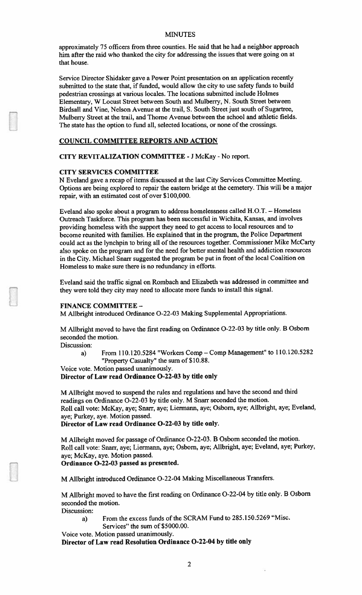approximately 75 officers from three counties. He said that he had a neighbor approach him after the raid who thanked the city for addressing the issues that were going on at that house.

Service Director Shidaker gave a Power Point presentation on an application recently submitted to the state that, if funded, would allow the city to use safety funds to build pedestrian crossings at various locales. The locations submitted include Holmes Elementary, W Locust Street between South and Mulberry. N. South Street between Birdsall and Vine, Nelson Avenue at the trail, S. South Street just south of Sugartree, Mulberry Street at the trail, and Thome Avenue between the school and athletic fields. The state has the option to fund all, selected locations, or none of the crossings.

## COUNCIL COMMITTEE REPORTS AND ACTION

CITY REVITALIZATION COMMITTEE - J McKay - No report.

#### CITY SERVICES COMMITTEE

N Eveland gave a recap of items discussed at the last City Services Committee Meeting. Options are being explored to repair the eastern bridge at the cemetery. This will be a major repair, with an estimated cost of over \$100,000.

Eveland also spoke about a program to address homelessness called H.O.T. — Homeless Outreach Taskforce. This program has been successful in Wichita, Kansas, and involves providing homeless with the support they need to get access to local resources and to become reunited with families. He explained that in the program, the Police Department could act as the lynchpin to bring all of the resources together. Commissioner Mike McCarty also spoke on the program and for the need for better mental health and addiction resources in the City. Michael Snarr suggested the program be put in front of the local Coalition on Homeless to make sure there is no redundancy in efforts.

Eveland said the traffic signal on Rombach and Elizabeth was addressed in committee and they were told they city may need to allocate more funds to install this signal.

#### FINANCE COMMITTEE -

M Allbright introduced Ordinance 0-22-03 Making Supplemental Appropriations.

M Allbright moved to have the first reading on Ordinance 0-22-03 by title only. B Osbom seconded the motion.

Discussion:

a) From 110.120.5284 "Workers Comp — Comp Management" to 110.120.5282 "Property Casualty" the sum of \$10.88.

Voice vote. Motion passed unanimously.

## Director of Law read Ordinance 0-22-03 by title only

M Allbright moved to suspend the rules and regulations and have the second and third readings on Ordinance 0-22-03 by title only. M Snarr seconded the motion. Roll call vote: McKay. aye; Snarr. aye; Liermann, aye; Osborn, aye; AHbright, aye; Eveland, aye; Purkey, aye. Motion passed.

Director of Law read Ordinance 0-22-03 by title only.

M Aflbright moved for passage of Ordinance 0-22-03. B Osbom seconded the motion. Roll call vote: Snarr. aye; Liermann, aye: Osbom. aye: Allbright. aye; Eveland. aye; Purkey, aye; McKay, aye. Motion passed.

## Ordinance 0-22-03 passed as presented.

M Allbright introduced Ordinance 0-22-04 Making Miscellaneous Transfers.

M Allbright moved to have the first reading on Ordinance 0-22-04 by title only. <sup>B</sup> Osbom seconded the motion.

Discussion:

a) From the excess funds of the SCRAM Fund to 285.150.5269 "Misc.

Services" the sum of \$5000.00.

Voice vote. Motion passed unanimously.

Director of Law read Resolution Ordinance 0-22-04 by title only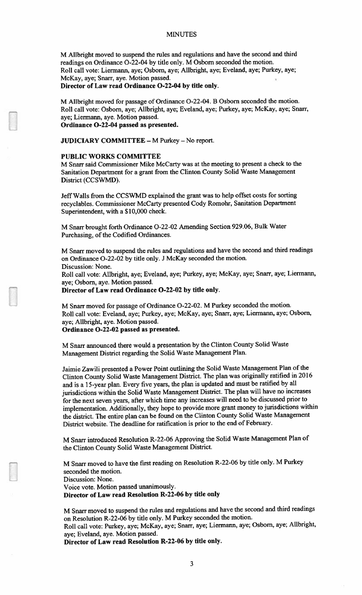M Allbright moved to suspend the rules and regulations and have the second and third readings on Ordinance 0-22-04 by title only. <sup>M</sup> Osbom seconded the motion. Roll call vote: Liermann, aye; Osborn, aye; Allbright, aye; Eveland, aye; Purkey, aye; McKay, aye; Snarr, aye. Motion passe& Director of Law read Ordinance O-22-04 by title only.

M Alibright moved for passage of Ordinance 0-22-04. <sup>B</sup> Osborn seconded the motion. Roll call vote: Osbom, aye; Allbright, aye; Eveland. aye; Purkey, aye; McKay, aye; Snarr, aye; Liermann, aye. Motion passed. Ordinance 0-22-04 passed as presented.

JUDICIARY COMMITTEE - M Purkey - No report.

#### PUBLIC WORKS COMMITTEE

M Snarr said Commissioner Mike McCarty was at the meeting to presen<sup>t</sup> <sup>a</sup> check to the Sanitation Department for <sup>a</sup> gran<sup>t</sup> from the Clinton County Solid Waste Management District (CCSWMD).

Jeff Walls from the CCSWMD explained the gran<sup>t</sup> was to help offset costs for sorting recyclables. Commissioner McCarty presented Cody Romohr, Sanitation Department Superintendent, with <sup>a</sup> \$10,000 check.

M Snarr brought forth Ordinance 0-22-02 Amending Section 929.06, Bulk Water Purchasing, of the Codified Ordinances.

M Snarr moved to suspen<sup>d</sup> the rules and regulations and have the second and third readings on Ordinance 0-22-02 by title only. <sup>J</sup> McKay seconded the motion. Discussion: None.

Roll call vote: Alibright, aye; Eveland, aye; Purkey, aye; McKay, aye: Snarr, aye; Liermann, aye; Osborn, aye. Motion passed.

Director of Law read Ordinance 0-22-02 by title only.

M Snarr moved for passage of Ordinance 0-22-02. <sup>M</sup> Purkey seconded the motion. Roll call vote: Eveland, aye; Purkey, aye; McKay, aye; Snarr, aye; Liermann. aye; Osbom. aye; Allbright, aye. Motion passed.

Ordinance 0-22-02 passed as presented.

M Snarr announced there would a presentation by the Clinton County Solid Waste Management District regarding the Solid Waste Management Plan.

Jaimie Zawili presented <sup>a</sup> Power Point outlining the Solid Waste Management Plan of the Clinton County Solid Waste Management District. The <sup>p</sup>lan was originally ratified in <sup>2016</sup> and is <sup>a</sup> 15-year <sup>p</sup>lan. Every five years, the <sup>p</sup>lan is updated and must be ratified by all jurisdictions within the Solid Waste Management District. The <sup>p</sup>lan will have no increases for the next seven years, after which time any increases will need to be discussed prior to implementation. Additionally, they hope to provide more gran<sup>t</sup> money to jurisdictions within the district. The entire <sup>p</sup>lan can be found on the Clinton County Solid Waste Management District website. The deadline for ratification is prior to the end of February.

M Snarr introduced Resolution R-22-06 Approving the Solid Waste Management Plan of the Clinton County Solid Waste Management District.

M Snarr moved to have the first reading on Resolution R-22-06 by title only. <sup>M</sup> Purkey seconded the motion. Discussion: None. Voice vote. Motion passed unanimously. Director of Law read Resolution R-22-06 by title only

M Snarr moved to suspen<sup>d</sup> the rules and regulations and have the second and third readings on Resolution R-22-06 by title only. <sup>M</sup> Purkey seconded the motion. Roll call vote: Purkey, aye; McKay, aye; Snarr, aye; Liermann, aye; Osborn, aye; Allbright, aye; Eveland, aye. Motion passed.

Director of Law read Resolution R-22-06 by title only.